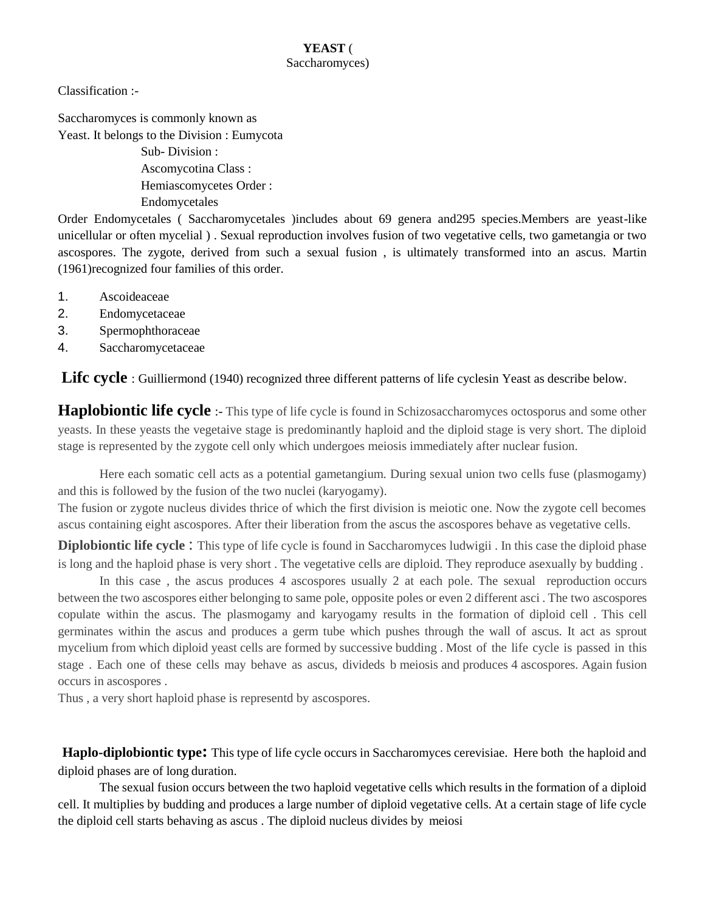## **YEAST** ( Saccharomyces)

Classification :-

Saccharomyces is commonly known as Yeast. It belongs to the Division : Eumycota

> Sub- Division : Ascomycotina Class : Hemiascomycetes Order : Endomycetales

Order Endomycetales ( Saccharomycetales )includes about 69 genera and295 species.Members are yeast-like unicellular or often mycelial ) . Sexual reproduction involves fusion of two vegetative cells, two gametangia or two ascospores. The zygote, derived from such a sexual fusion , is ultimately transformed into an ascus. Martin (1961)recognized four families of this order.

- 1. Ascoideaceae
- 2. Endomycetaceae
- 3. Spermophthoraceae
- 4. Saccharomycetaceae

Lifc cycle : Guilliermond (1940) recognized three different patterns of life cyclesin Yeast as describe below.

**Haplobiontic life cycle** :- This type of life cycle is found in Schizosaccharomyces octosporus and some other yeasts. In these yeasts the vegetaive stage is predominantly haploid and the diploid stage is very short. The diploid stage is represented by the zygote cell only which undergoes meiosis immediately after nuclear fusion.

Here each somatic cell acts as a potential gametangium. During sexual union two cells fuse (plasmogamy) and this is followed by the fusion of the two nuclei (karyogamy).

The fusion or zygote nucleus divides thrice of which the first division is meiotic one. Now the zygote cell becomes ascus containing eight ascospores. After their liberation from the ascus the ascospores behave as vegetative cells.

**Diplobiontic life cycle :** This type of life cycle is found in Saccharomyces ludwigii . In this case the diploid phase is long and the haploid phase is very short . The vegetative cells are diploid. They reproduce asexually by budding .

In this case , the ascus produces 4 ascospores usually 2 at each pole. The sexual reproduction occurs between the two ascospores either belonging to same pole, opposite poles or even 2 different asci . The two ascospores copulate within the ascus. The plasmogamy and karyogamy results in the formation of diploid cell . This cell germinates within the ascus and produces a germ tube which pushes through the wall of ascus. It act as sprout mycelium from which diploid yeast cells are formed by successive budding . Most of the life cycle is passed in this stage . Each one of these cells may behave as ascus, divideds b meiosis and produces 4 ascospores. Again fusion occurs in ascospores .

Thus , a very short haploid phase is representd by ascospores.

**Haplo-diplobiontic type:** This type of life cycle occurs in Saccharomyces cerevisiae. Here both the haploid and diploid phases are of long duration.

The sexual fusion occurs between the two haploid vegetative cells which results in the formation of a diploid cell. It multiplies by budding and produces a large number of diploid vegetative cells. At a certain stage of life cycle the diploid cell starts behaving as ascus . The diploid nucleus divides by meiosi